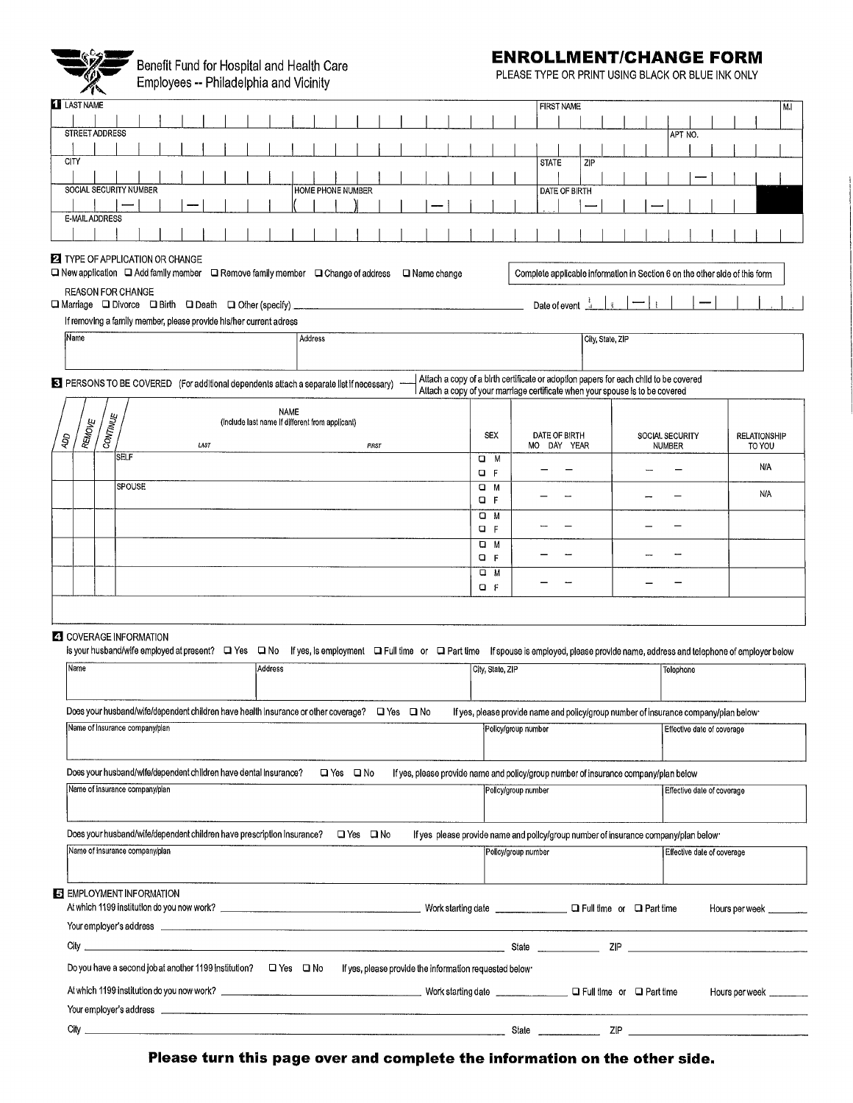

Benefit Fund for Hospital and Health Care<br>Employees -- Philadelphia and Vicinity

## **ENROLLMENT/CHANGE FORM**

PLEASE TYPE OR PRINT USING BLACK OR BLUE INK ONLY

| $\sim$ 12                                                                                                                                                                                                                      |        |  |      |  |                                                 |                   |                      |  |  |                                                                                                                                      |                     |                              |                      |     |                  |  |               |                            |  |                                                                             |            |    |
|--------------------------------------------------------------------------------------------------------------------------------------------------------------------------------------------------------------------------------|--------|--|------|--|-------------------------------------------------|-------------------|----------------------|--|--|--------------------------------------------------------------------------------------------------------------------------------------|---------------------|------------------------------|----------------------|-----|------------------|--|---------------|----------------------------|--|-----------------------------------------------------------------------------|------------|----|
| <b>LAST NAME</b>                                                                                                                                                                                                               |        |  |      |  |                                                 |                   |                      |  |  |                                                                                                                                      |                     |                              | <b>FIRST NAME</b>    |     |                  |  |               |                            |  |                                                                             |            | M. |
| STREET ADDRESS                                                                                                                                                                                                                 |        |  |      |  |                                                 |                   |                      |  |  |                                                                                                                                      |                     |                              |                      |     |                  |  |               |                            |  |                                                                             |            |    |
|                                                                                                                                                                                                                                |        |  |      |  |                                                 |                   |                      |  |  |                                                                                                                                      |                     |                              |                      |     |                  |  |               | APT NO.                    |  |                                                                             |            |    |
| CITY                                                                                                                                                                                                                           |        |  |      |  |                                                 |                   |                      |  |  |                                                                                                                                      |                     | <b>STATE</b>                 |                      | ZIP |                  |  |               |                            |  |                                                                             |            |    |
|                                                                                                                                                                                                                                |        |  |      |  |                                                 |                   |                      |  |  |                                                                                                                                      |                     |                              |                      |     |                  |  |               |                            |  |                                                                             |            |    |
| SOCIAL SECURITY NUMBER                                                                                                                                                                                                         |        |  |      |  |                                                 | HOME PHONE NUMBER |                      |  |  |                                                                                                                                      |                     |                              | <b>DATE OF BIRTH</b> |     |                  |  |               |                            |  |                                                                             |            |    |
|                                                                                                                                                                                                                                |        |  |      |  |                                                 |                   |                      |  |  |                                                                                                                                      |                     |                              |                      |     |                  |  |               |                            |  |                                                                             |            |    |
| E-MAIL ADDRESS                                                                                                                                                                                                                 |        |  |      |  |                                                 |                   |                      |  |  |                                                                                                                                      |                     |                              |                      |     |                  |  |               |                            |  |                                                                             |            |    |
|                                                                                                                                                                                                                                |        |  |      |  |                                                 |                   |                      |  |  |                                                                                                                                      |                     |                              |                      |     |                  |  |               |                            |  |                                                                             |            |    |
|                                                                                                                                                                                                                                |        |  |      |  |                                                 |                   |                      |  |  |                                                                                                                                      |                     |                              |                      |     |                  |  |               |                            |  |                                                                             |            |    |
| <b>2</b> TYPE OF APPLICATION OR CHANGE<br>□ New application □ Add family member □ Remove family member □ Change of address □ Name change                                                                                       |        |  |      |  |                                                 |                   |                      |  |  |                                                                                                                                      |                     |                              |                      |     |                  |  |               |                            |  | Complete applicable information in Section 6 on the other side of this form |            |    |
| <b>REASON FOR CHANGE</b><br>□ Marriage □ Divorce □ Birth □ Death □ Other (specify) _                                                                                                                                           |        |  |      |  |                                                 |                   |                      |  |  |                                                                                                                                      |                     | Date of event $\frac{1}{-4}$ |                      |     |                  |  |               |                            |  |                                                                             |            |    |
| If removing a family member, please provide his/her current adress                                                                                                                                                             |        |  |      |  |                                                 |                   |                      |  |  |                                                                                                                                      |                     |                              |                      |     |                  |  |               |                            |  |                                                                             |            |    |
| Name                                                                                                                                                                                                                           |        |  |      |  |                                                 | Address           |                      |  |  |                                                                                                                                      |                     |                              |                      |     | City, State, ZIP |  |               |                            |  |                                                                             |            |    |
|                                                                                                                                                                                                                                |        |  |      |  |                                                 |                   |                      |  |  |                                                                                                                                      |                     |                              |                      |     |                  |  |               |                            |  |                                                                             |            |    |
|                                                                                                                                                                                                                                |        |  |      |  |                                                 |                   |                      |  |  |                                                                                                                                      |                     |                              |                      |     |                  |  |               |                            |  |                                                                             |            |    |
| EX PERSONS TO BE COVERED (For additional dependents attach a separate list if necessary)                                                                                                                                       |        |  |      |  |                                                 |                   |                      |  |  | Attach a copy of a birth certificate or adoption papers for each child to be covered                                                 |                     |                              |                      |     |                  |  |               |                            |  |                                                                             |            |    |
|                                                                                                                                                                                                                                |        |  |      |  |                                                 |                   |                      |  |  | Attach a copy of your marriage certificate when your spouse is to be covered                                                         |                     |                              |                      |     |                  |  |               |                            |  |                                                                             |            |    |
|                                                                                                                                                                                                                                |        |  |      |  | <b>NAME</b>                                     |                   |                      |  |  |                                                                                                                                      |                     |                              |                      |     |                  |  |               |                            |  |                                                                             |            |    |
| <b>CONTINUE</b><br><b>REMOVE</b>                                                                                                                                                                                               |        |  |      |  | (include last name if different from applicant) |                   |                      |  |  |                                                                                                                                      |                     |                              |                      |     |                  |  |               |                            |  |                                                                             |            |    |
| ЮÞ                                                                                                                                                                                                                             |        |  | LAST |  |                                                 |                   | <b>FIRST</b>         |  |  | <b>SEX</b>                                                                                                                           |                     | DATE OF BIRTH<br>MO DAY YEAR |                      |     |                  |  | <b>NUMBER</b> | SOCIAL SECURITY            |  | <b>RELATIONSHIP</b>                                                         | TO YOU     |    |
|                                                                                                                                                                                                                                | SELF   |  |      |  |                                                 |                   |                      |  |  | O M                                                                                                                                  |                     |                              |                      |     |                  |  |               |                            |  |                                                                             |            |    |
|                                                                                                                                                                                                                                |        |  |      |  |                                                 |                   |                      |  |  | $Q$ $F$                                                                                                                              |                     |                              |                      |     |                  |  |               |                            |  |                                                                             | N/A        |    |
|                                                                                                                                                                                                                                | SPOUSE |  |      |  |                                                 |                   |                      |  |  | $\Box$ M                                                                                                                             |                     |                              |                      |     |                  |  |               |                            |  |                                                                             |            |    |
|                                                                                                                                                                                                                                |        |  |      |  |                                                 |                   |                      |  |  | $Q$ $F$                                                                                                                              |                     |                              |                      |     |                  |  |               |                            |  |                                                                             | <b>N/A</b> |    |
|                                                                                                                                                                                                                                |        |  |      |  |                                                 |                   |                      |  |  | O M                                                                                                                                  |                     |                              |                      |     |                  |  |               |                            |  |                                                                             |            |    |
|                                                                                                                                                                                                                                |        |  |      |  |                                                 |                   |                      |  |  | $\Box$ F                                                                                                                             |                     |                              |                      |     |                  |  |               |                            |  |                                                                             |            |    |
|                                                                                                                                                                                                                                |        |  |      |  |                                                 |                   |                      |  |  | u M                                                                                                                                  |                     |                              |                      |     |                  |  |               |                            |  |                                                                             |            |    |
|                                                                                                                                                                                                                                |        |  |      |  |                                                 |                   |                      |  |  | o F                                                                                                                                  |                     |                              |                      |     |                  |  |               |                            |  |                                                                             |            |    |
|                                                                                                                                                                                                                                |        |  |      |  |                                                 |                   |                      |  |  | u m                                                                                                                                  |                     |                              |                      |     |                  |  |               |                            |  |                                                                             |            |    |
|                                                                                                                                                                                                                                |        |  |      |  |                                                 |                   |                      |  |  | $Q$ $F$                                                                                                                              |                     |                              |                      |     |                  |  |               |                            |  |                                                                             |            |    |
|                                                                                                                                                                                                                                |        |  |      |  |                                                 |                   |                      |  |  |                                                                                                                                      |                     |                              |                      |     |                  |  |               |                            |  |                                                                             |            |    |
|                                                                                                                                                                                                                                |        |  |      |  |                                                 |                   |                      |  |  |                                                                                                                                      |                     |                              |                      |     |                  |  |               |                            |  |                                                                             |            |    |
|                                                                                                                                                                                                                                |        |  |      |  |                                                 |                   |                      |  |  |                                                                                                                                      |                     |                              |                      |     |                  |  |               |                            |  |                                                                             |            |    |
| <b>23 COVERAGE INFORMATION</b>                                                                                                                                                                                                 |        |  |      |  |                                                 |                   |                      |  |  |                                                                                                                                      |                     |                              |                      |     |                  |  |               |                            |  |                                                                             |            |    |
| is your husband/wife employed at present? □ Yes □ No                                                                                                                                                                           |        |  |      |  |                                                 |                   |                      |  |  | If yes, is employment a Full time or a Part time If spouse is employed, please provide name, address and telephone of employer below |                     |                              |                      |     |                  |  |               |                            |  |                                                                             |            |    |
| Name                                                                                                                                                                                                                           |        |  |      |  | Address                                         |                   |                      |  |  | City, State, ZIP                                                                                                                     |                     |                              |                      |     |                  |  |               | Telephone                  |  |                                                                             |            |    |
|                                                                                                                                                                                                                                |        |  |      |  |                                                 |                   |                      |  |  |                                                                                                                                      |                     |                              |                      |     |                  |  |               |                            |  |                                                                             |            |    |
|                                                                                                                                                                                                                                |        |  |      |  |                                                 |                   |                      |  |  |                                                                                                                                      |                     |                              |                      |     |                  |  |               |                            |  |                                                                             |            |    |
| Does your husband/wife/dependent children have health insurance or other coverage? $\Box$ Yes $\Box$ No                                                                                                                        |        |  |      |  |                                                 |                   |                      |  |  | If yes, please provide name and policy/group number of insurance company/pian below-                                                 |                     |                              |                      |     |                  |  |               |                            |  |                                                                             |            |    |
| Name of Insurance company/plan                                                                                                                                                                                                 |        |  |      |  |                                                 |                   |                      |  |  |                                                                                                                                      | Policy/group number |                              |                      |     |                  |  |               | Effective date of coverage |  |                                                                             |            |    |
|                                                                                                                                                                                                                                |        |  |      |  |                                                 |                   |                      |  |  |                                                                                                                                      |                     |                              |                      |     |                  |  |               |                            |  |                                                                             |            |    |
|                                                                                                                                                                                                                                |        |  |      |  |                                                 |                   |                      |  |  |                                                                                                                                      |                     |                              |                      |     |                  |  |               |                            |  |                                                                             |            |    |
| Does your husband/wlfe/dependent children have dental insurance?                                                                                                                                                               |        |  |      |  |                                                 |                   | $\Box$ Yes $\Box$ No |  |  | If yes, please provide name and policy/group number of insurance company/plan below                                                  |                     |                              |                      |     |                  |  |               |                            |  |                                                                             |            |    |
| Name of insurance company/plan                                                                                                                                                                                                 |        |  |      |  |                                                 |                   |                      |  |  |                                                                                                                                      | Policy/group number |                              |                      |     |                  |  |               | Effective date of coverage |  |                                                                             |            |    |
|                                                                                                                                                                                                                                |        |  |      |  |                                                 |                   |                      |  |  |                                                                                                                                      |                     |                              |                      |     |                  |  |               |                            |  |                                                                             |            |    |
|                                                                                                                                                                                                                                |        |  |      |  |                                                 |                   |                      |  |  |                                                                                                                                      |                     |                              |                      |     |                  |  |               |                            |  |                                                                             |            |    |
|                                                                                                                                                                                                                                |        |  |      |  |                                                 |                   |                      |  |  | If yes please provide name and policy/group number of insurance company/plan below                                                   |                     |                              |                      |     |                  |  |               |                            |  |                                                                             |            |    |
| Name of insurance company/plan                                                                                                                                                                                                 |        |  |      |  |                                                 |                   |                      |  |  |                                                                                                                                      |                     |                              |                      |     |                  |  |               |                            |  |                                                                             |            |    |
|                                                                                                                                                                                                                                |        |  |      |  |                                                 |                   |                      |  |  |                                                                                                                                      | Policy/group number |                              |                      |     |                  |  |               | Effective date of coverage |  |                                                                             |            |    |
|                                                                                                                                                                                                                                |        |  |      |  |                                                 |                   |                      |  |  |                                                                                                                                      |                     |                              |                      |     |                  |  |               |                            |  |                                                                             |            |    |
| E EMPLOYMENT INFORMATION                                                                                                                                                                                                       |        |  |      |  |                                                 |                   |                      |  |  |                                                                                                                                      |                     |                              |                      |     |                  |  |               |                            |  |                                                                             |            |    |
|                                                                                                                                                                                                                                |        |  |      |  |                                                 |                   |                      |  |  |                                                                                                                                      |                     |                              |                      |     |                  |  |               |                            |  |                                                                             |            |    |
|                                                                                                                                                                                                                                |        |  |      |  |                                                 |                   |                      |  |  |                                                                                                                                      |                     |                              |                      |     |                  |  |               |                            |  | Hours per week                                                              |            |    |
|                                                                                                                                                                                                                                |        |  |      |  |                                                 |                   |                      |  |  |                                                                                                                                      |                     |                              |                      |     |                  |  |               |                            |  |                                                                             |            |    |
| $Cl$ ty $\rule{1em}{0.15mm}$                                                                                                                                                                                                   |        |  |      |  |                                                 |                   |                      |  |  |                                                                                                                                      |                     |                              |                      |     |                  |  |               |                            |  |                                                                             |            |    |
|                                                                                                                                                                                                                                |        |  |      |  |                                                 |                   |                      |  |  |                                                                                                                                      |                     |                              |                      |     |                  |  |               |                            |  |                                                                             |            |    |
| Do you have a second job at another 1199 institution?<br>U Yes   U No If yes, please provide the information requested below                                                                                                   |        |  |      |  |                                                 |                   |                      |  |  |                                                                                                                                      |                     |                              |                      |     |                  |  |               |                            |  |                                                                             |            |    |
|                                                                                                                                                                                                                                |        |  |      |  |                                                 |                   |                      |  |  |                                                                                                                                      |                     |                              |                      |     |                  |  |               |                            |  | Hours per week                                                              |            |    |
|                                                                                                                                                                                                                                |        |  |      |  |                                                 |                   |                      |  |  |                                                                                                                                      |                     |                              |                      |     |                  |  |               |                            |  |                                                                             |            |    |
| Your employer's address experience and the contract of the contract of the contract of the contract of the contract of the contract of the contract of the contract of the contract of the contract of the contract of the con |        |  |      |  |                                                 |                   |                      |  |  |                                                                                                                                      |                     |                              |                      |     |                  |  |               |                            |  |                                                                             |            |    |
|                                                                                                                                                                                                                                |        |  |      |  |                                                 |                   |                      |  |  |                                                                                                                                      |                     |                              |                      |     |                  |  |               |                            |  |                                                                             |            |    |
|                                                                                                                                                                                                                                |        |  |      |  |                                                 |                   |                      |  |  |                                                                                                                                      |                     |                              |                      |     |                  |  |               |                            |  |                                                                             |            |    |

Please turn this page over and complete the information on the other side.